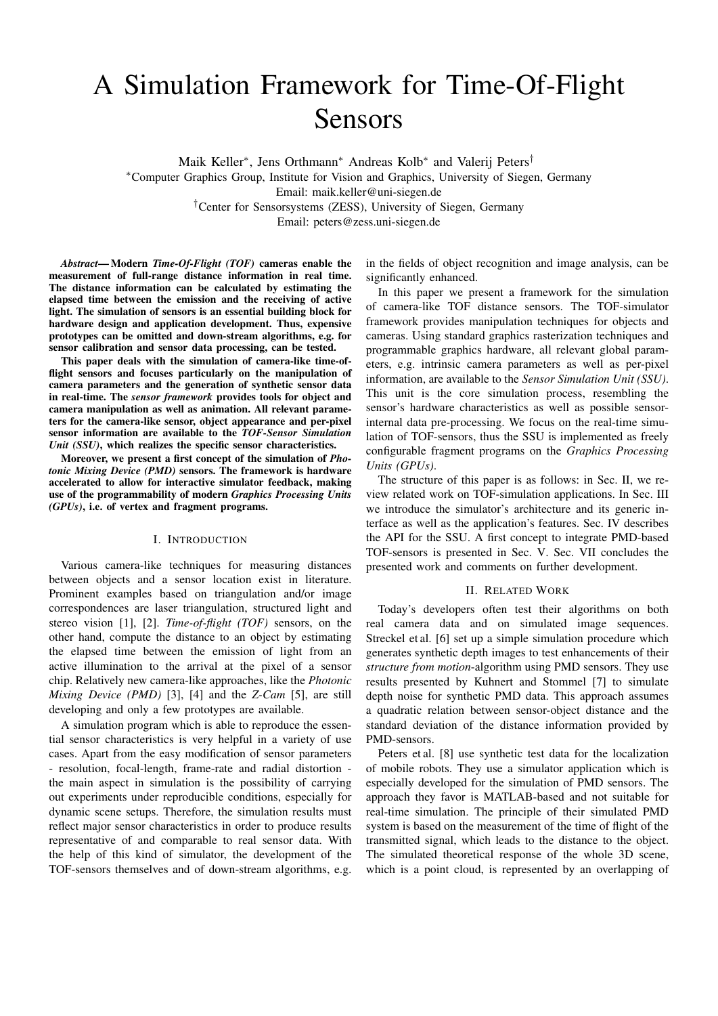# A Simulation Framework for Time-Of-Flight Sensors

Maik Keller<sup>∗</sup> , Jens Orthmann<sup>∗</sup> Andreas Kolb<sup>∗</sup> and Valerij Peters†

<sup>∗</sup>Computer Graphics Group, Institute for Vision and Graphics, University of Siegen, Germany Email: maik.keller@uni-siegen.de †Center for Sensorsystems (ZESS), University of Siegen, Germany

Email: peters@zess.uni-siegen.de

*Abstract*— Modern *Time-Of-Flight (TOF)* cameras enable the measurement of full-range distance information in real time. The distance information can be calculated by estimating the elapsed time between the emission and the receiving of active light. The simulation of sensors is an essential building block for hardware design and application development. Thus, expensive prototypes can be omitted and down-stream algorithms, e.g. for sensor calibration and sensor data processing, can be tested.

This paper deals with the simulation of camera-like time-offlight sensors and focuses particularly on the manipulation of camera parameters and the generation of synthetic sensor data in real-time. The *sensor framework* provides tools for object and camera manipulation as well as animation. All relevant parameters for the camera-like sensor, object appearance and per-pixel sensor information are available to the *TOF-Sensor Simulation Unit (SSU)*, which realizes the specific sensor characteristics.

Moreover, we present a first concept of the simulation of *Photonic Mixing Device (PMD)* sensors. The framework is hardware accelerated to allow for interactive simulator feedback, making use of the programmability of modern *Graphics Processing Units (GPUs)*, i.e. of vertex and fragment programs.

#### I. INTRODUCTION

Various camera-like techniques for measuring distances between objects and a sensor location exist in literature. Prominent examples based on triangulation and/or image correspondences are laser triangulation, structured light and stereo vision [1], [2]. *Time-of-flight (TOF)* sensors, on the other hand, compute the distance to an object by estimating the elapsed time between the emission of light from an active illumination to the arrival at the pixel of a sensor chip. Relatively new camera-like approaches, like the *Photonic Mixing Device (PMD)* [3], [4] and the *Z-Cam* [5], are still developing and only a few prototypes are available.

A simulation program which is able to reproduce the essential sensor characteristics is very helpful in a variety of use cases. Apart from the easy modification of sensor parameters - resolution, focal-length, frame-rate and radial distortion the main aspect in simulation is the possibility of carrying out experiments under reproducible conditions, especially for dynamic scene setups. Therefore, the simulation results must reflect major sensor characteristics in order to produce results representative of and comparable to real sensor data. With the help of this kind of simulator, the development of the TOF-sensors themselves and of down-stream algorithms, e.g.

in the fields of object recognition and image analysis, can be significantly enhanced.

In this paper we present a framework for the simulation of camera-like TOF distance sensors. The TOF-simulator framework provides manipulation techniques for objects and cameras. Using standard graphics rasterization techniques and programmable graphics hardware, all relevant global parameters, e.g. intrinsic camera parameters as well as per-pixel information, are available to the *Sensor Simulation Unit (SSU)*. This unit is the core simulation process, resembling the sensor's hardware characteristics as well as possible sensorinternal data pre-processing. We focus on the real-time simulation of TOF-sensors, thus the SSU is implemented as freely configurable fragment programs on the *Graphics Processing Units (GPUs)*.

The structure of this paper is as follows: in Sec. II, we review related work on TOF-simulation applications. In Sec. III we introduce the simulator's architecture and its generic interface as well as the application's features. Sec. IV describes the API for the SSU. A first concept to integrate PMD-based TOF-sensors is presented in Sec. V. Sec. VII concludes the presented work and comments on further development.

#### II. RELATED WORK

Today's developers often test their algorithms on both real camera data and on simulated image sequences. Streckel et al. [6] set up a simple simulation procedure which generates synthetic depth images to test enhancements of their *structure from motion*-algorithm using PMD sensors. They use results presented by Kuhnert and Stommel [7] to simulate depth noise for synthetic PMD data. This approach assumes a quadratic relation between sensor-object distance and the standard deviation of the distance information provided by PMD-sensors.

Peters et al. [8] use synthetic test data for the localization of mobile robots. They use a simulator application which is especially developed for the simulation of PMD sensors. The approach they favor is MATLAB-based and not suitable for real-time simulation. The principle of their simulated PMD system is based on the measurement of the time of flight of the transmitted signal, which leads to the distance to the object. The simulated theoretical response of the whole 3D scene, which is a point cloud, is represented by an overlapping of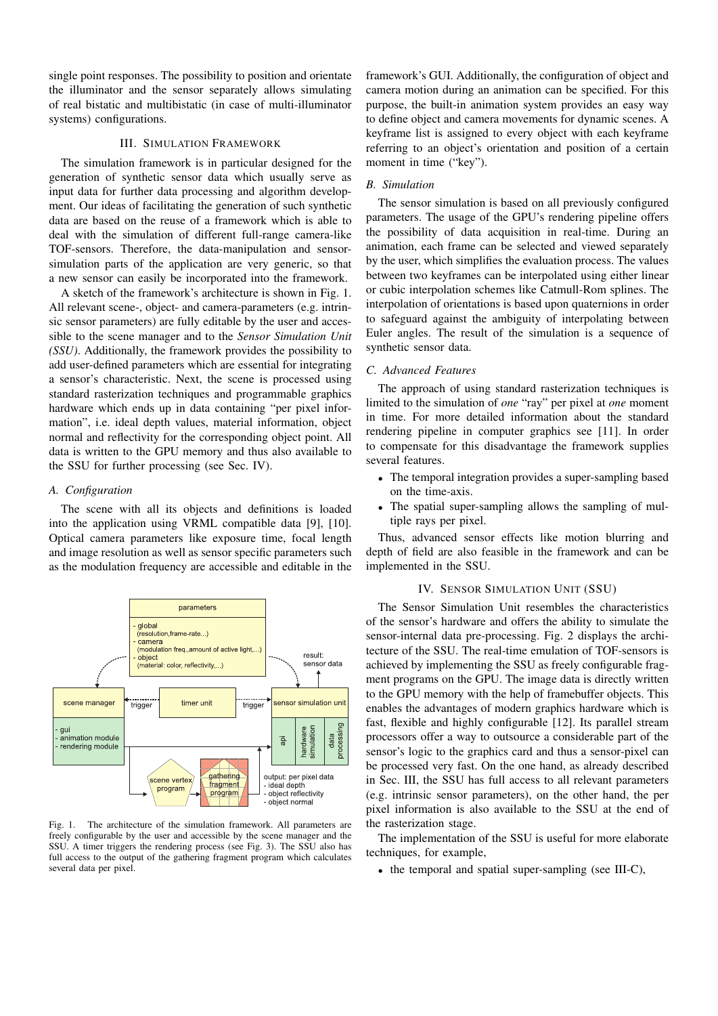single point responses. The possibility to position and orientate the illuminator and the sensor separately allows simulating of real bistatic and multibistatic (in case of multi-illuminator systems) configurations.

# III. SIMULATION FRAMEWORK

The simulation framework is in particular designed for the generation of synthetic sensor data which usually serve as input data for further data processing and algorithm development. Our ideas of facilitating the generation of such synthetic data are based on the reuse of a framework which is able to deal with the simulation of different full-range camera-like TOF-sensors. Therefore, the data-manipulation and sensorsimulation parts of the application are very generic, so that a new sensor can easily be incorporated into the framework.

A sketch of the framework's architecture is shown in Fig. 1. All relevant scene-, object- and camera-parameters (e.g. intrinsic sensor parameters) are fully editable by the user and accessible to the scene manager and to the *Sensor Simulation Unit (SSU)*. Additionally, the framework provides the possibility to add user-defined parameters which are essential for integrating a sensor's characteristic. Next, the scene is processed using standard rasterization techniques and programmable graphics hardware which ends up in data containing "per pixel information", i.e. ideal depth values, material information, object normal and reflectivity for the corresponding object point. All data is written to the GPU memory and thus also available to the SSU for further processing (see Sec. IV).

#### *A. Configuration*

The scene with all its objects and definitions is loaded into the application using VRML compatible data [9], [10]. Optical camera parameters like exposure time, focal length and image resolution as well as sensor specific parameters such as the modulation frequency are accessible and editable in the



Fig. 1. The architecture of the simulation framework. All parameters are freely configurable by the user and accessible by the scene manager and the SSU. A timer triggers the rendering process (see Fig. 3). The SSU also has full access to the output of the gathering fragment program which calculates several data per pixel.

framework's GUI. Additionally, the configuration of object and camera motion during an animation can be specified. For this purpose, the built-in animation system provides an easy way to define object and camera movements for dynamic scenes. A keyframe list is assigned to every object with each keyframe referring to an object's orientation and position of a certain moment in time ("key").

#### *B. Simulation*

The sensor simulation is based on all previously configured parameters. The usage of the GPU's rendering pipeline offers the possibility of data acquisition in real-time. During an animation, each frame can be selected and viewed separately by the user, which simplifies the evaluation process. The values between two keyframes can be interpolated using either linear or cubic interpolation schemes like Catmull-Rom splines. The interpolation of orientations is based upon quaternions in order to safeguard against the ambiguity of interpolating between Euler angles. The result of the simulation is a sequence of synthetic sensor data.

## *C. Advanced Features*

The approach of using standard rasterization techniques is limited to the simulation of *one* "ray" per pixel at *one* moment in time. For more detailed information about the standard rendering pipeline in computer graphics see [11]. In order to compensate for this disadvantage the framework supplies several features.

- The temporal integration provides a super-sampling based on the time-axis.
- The spatial super-sampling allows the sampling of multiple rays per pixel.

Thus, advanced sensor effects like motion blurring and depth of field are also feasible in the framework and can be implemented in the SSU.

## IV. SENSOR SIMULATION UNIT (SSU)

The Sensor Simulation Unit resembles the characteristics of the sensor's hardware and offers the ability to simulate the sensor-internal data pre-processing. Fig. 2 displays the architecture of the SSU. The real-time emulation of TOF-sensors is achieved by implementing the SSU as freely configurable fragment programs on the GPU. The image data is directly written to the GPU memory with the help of framebuffer objects. This enables the advantages of modern graphics hardware which is fast, flexible and highly configurable [12]. Its parallel stream processors offer a way to outsource a considerable part of the sensor's logic to the graphics card and thus a sensor-pixel can be processed very fast. On the one hand, as already described in Sec. III, the SSU has full access to all relevant parameters (e.g. intrinsic sensor parameters), on the other hand, the per pixel information is also available to the SSU at the end of the rasterization stage.

The implementation of the SSU is useful for more elaborate techniques, for example,

• the temporal and spatial super-sampling (see III-C),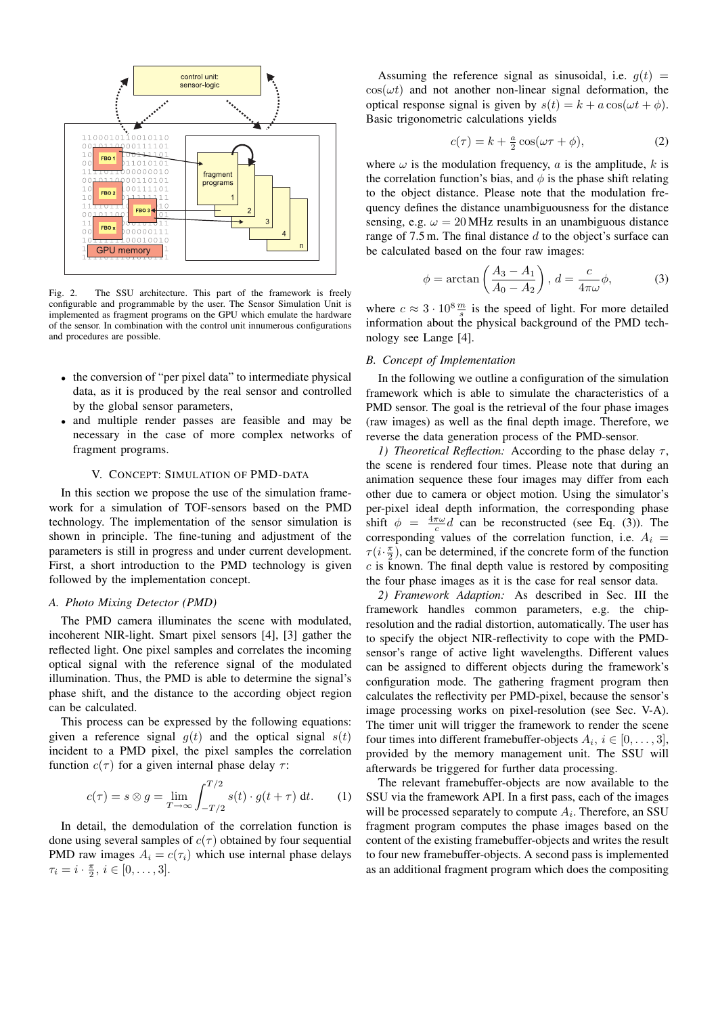

Fig. 2. The SSU architecture. This part of the framework is freely configurable and programmable by the user. The Sensor Simulation Unit is implemented as fragment programs on the GPU which emulate the hardware of the sensor. In combination with the control unit innumerous configurations and procedures are possible.

- the conversion of "per pixel data" to intermediate physical data, as it is produced by the real sensor and controlled by the global sensor parameters,
- and multiple render passes are feasible and may be necessary in the case of more complex networks of fragment programs.

#### V. CONCEPT: SIMULATION OF PMD-DATA

In this section we propose the use of the simulation framework for a simulation of TOF-sensors based on the PMD technology. The implementation of the sensor simulation is shown in principle. The fine-tuning and adjustment of the parameters is still in progress and under current development. First, a short introduction to the PMD technology is given followed by the implementation concept.

# *A. Photo Mixing Detector (PMD)*

The PMD camera illuminates the scene with modulated, incoherent NIR-light. Smart pixel sensors [4], [3] gather the reflected light. One pixel samples and correlates the incoming optical signal with the reference signal of the modulated illumination. Thus, the PMD is able to determine the signal's phase shift, and the distance to the according object region can be calculated.

This process can be expressed by the following equations: given a reference signal  $q(t)$  and the optical signal  $s(t)$ incident to a PMD pixel, the pixel samples the correlation function  $c(\tau)$  for a given internal phase delay  $\tau$ :

$$
c(\tau) = s \otimes g = \lim_{T \to \infty} \int_{-T/2}^{T/2} s(t) \cdot g(t + \tau) dt.
$$
 (1)

In detail, the demodulation of the correlation function is done using several samples of  $c(\tau)$  obtained by four sequential PMD raw images  $A_i = c(\tau_i)$  which use internal phase delays  $\tau_i = i \cdot \frac{\pi}{2}, i \in [0, \ldots, 3].$ 

Assuming the reference signal as sinusoidal, i.e.  $q(t)$  =  $cos(\omega t)$  and not another non-linear signal deformation, the optical response signal is given by  $s(t) = k + a \cos(\omega t + \phi)$ . Basic trigonometric calculations yields

$$
c(\tau) = k + \frac{a}{2}\cos(\omega \tau + \phi), \tag{2}
$$

where  $\omega$  is the modulation frequency, a is the amplitude, k is the correlation function's bias, and  $\phi$  is the phase shift relating to the object distance. Please note that the modulation frequency defines the distance unambiguousness for the distance sensing, e.g.  $\omega = 20$  MHz results in an unambiguous distance range of  $7.5$  m. The final distance  $d$  to the object's surface can be calculated based on the four raw images:

$$
\phi = \arctan\left(\frac{A_3 - A_1}{A_0 - A_2}\right), \ d = \frac{c}{4\pi\omega}\phi,\tag{3}
$$

where  $c \approx 3 \cdot 10^8 \frac{m}{s}$  is the speed of light. For more detailed information about the physical background of the PMD technology see Lange [4].

#### *B. Concept of Implementation*

In the following we outline a configuration of the simulation framework which is able to simulate the characteristics of a PMD sensor. The goal is the retrieval of the four phase images (raw images) as well as the final depth image. Therefore, we reverse the data generation process of the PMD-sensor.

*1) Theoretical Reflection:* According to the phase delay  $\tau$ , the scene is rendered four times. Please note that during an animation sequence these four images may differ from each other due to camera or object motion. Using the simulator's per-pixel ideal depth information, the corresponding phase shift  $\phi = \frac{4\pi\omega}{c}d$  can be reconstructed (see Eq. (3)). The corresponding values of the correlation function, i.e.  $A_i =$  $\tau(i \cdot \frac{\pi}{2})$ , can be determined, if the concrete form of the function  $c$  is known. The final depth value is restored by compositing the four phase images as it is the case for real sensor data.

*2) Framework Adaption:* As described in Sec. III the framework handles common parameters, e.g. the chipresolution and the radial distortion, automatically. The user has to specify the object NIR-reflectivity to cope with the PMDsensor's range of active light wavelengths. Different values can be assigned to different objects during the framework's configuration mode. The gathering fragment program then calculates the reflectivity per PMD-pixel, because the sensor's image processing works on pixel-resolution (see Sec. V-A). The timer unit will trigger the framework to render the scene four times into different framebuffer-objects  $A_i, i \in [0, \ldots, 3]$ , provided by the memory management unit. The SSU will afterwards be triggered for further data processing.

The relevant framebuffer-objects are now available to the SSU via the framework API. In a first pass, each of the images will be processed separately to compute  $A_i$ . Therefore, an SSU fragment program computes the phase images based on the content of the existing framebuffer-objects and writes the result to four new framebuffer-objects. A second pass is implemented as an additional fragment program which does the compositing